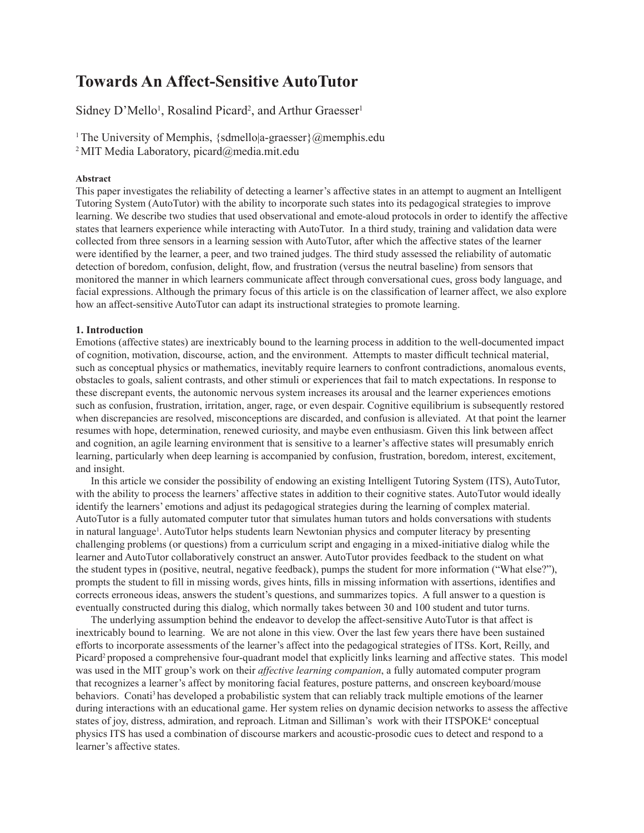# **Towards An Affect-Sensitive AutoTutor**

Sidney D'Mello<sup>1</sup>, Rosalind Picard<sup>2</sup>, and Arthur Graesser<sup>1</sup>

<sup>1</sup> The University of Memphis, {sdmello|a-graesser}@memphis.edu 2 MIT Media Laboratory, picard@media.mit.edu

#### **Abstract**

This paper investigates the reliability of detecting a learner's affective states in an attempt to augment an Intelligent Tutoring System (AutoTutor) with the ability to incorporate such states into its pedagogical strategies to improve learning. We describe two studies that used observational and emote-aloud protocols in order to identify the affective states that learners experience while interacting with AutoTutor. In a third study, training and validation data were collected from three sensors in a learning session with AutoTutor, after which the affective states of the learner were identified by the learner, a peer, and two trained judges. The third study assessed the reliability of automatic detection of boredom, confusion, delight, flow, and frustration (versus the neutral baseline) from sensors that monitored the manner in which learners communicate affect through conversational cues, gross body language, and facial expressions. Although the primary focus of this article is on the classification of learner affect, we also explore how an affect-sensitive AutoTutor can adapt its instructional strategies to promote learning.

# **1. Introduction**

Emotions (affective states) are inextricably bound to the learning process in addition to the well-documented impact of cognition, motivation, discourse, action, and the environment. Attempts to master difficult technical material, such as conceptual physics or mathematics, inevitably require learners to confront contradictions, anomalous events, obstacles to goals, salient contrasts, and other stimuli or experiences that fail to match expectations. In response to these discrepant events, the autonomic nervous system increases its arousal and the learner experiences emotions such as confusion, frustration, irritation, anger, rage, or even despair. Cognitive equilibrium is subsequently restored when discrepancies are resolved, misconceptions are discarded, and confusion is alleviated. At that point the learner resumes with hope, determination, renewed curiosity, and maybe even enthusiasm. Given this link between affect and cognition, an agile learning environment that is sensitive to a learner's affective states will presumably enrich learning, particularly when deep learning is accompanied by confusion, frustration, boredom, interest, excitement, and insight.

In this article we consider the possibility of endowing an existing Intelligent Tutoring System (ITS), AutoTutor, with the ability to process the learners' affective states in addition to their cognitive states. AutoTutor would ideally identify the learners' emotions and adjust its pedagogical strategies during the learning of complex material. AutoTutor is a fully automated computer tutor that simulates human tutors and holds conversations with students in natural language<sup>1</sup>. AutoTutor helps students learn Newtonian physics and computer literacy by presenting challenging problems (or questions) from a curriculum script and engaging in a mixed-initiative dialog while the learner and AutoTutor collaboratively construct an answer. AutoTutor provides feedback to the student on what the student types in (positive, neutral, negative feedback), pumps the student for more information ("What else?"), prompts the student to fill in missing words, gives hints, fills in missing information with assertions, identifies and corrects erroneous ideas, answers the student's questions, and summarizes topics. A full answer to a question is eventually constructed during this dialog, which normally takes between 30 and 100 student and tutor turns.

The underlying assumption behind the endeavor to develop the affect-sensitive AutoTutor is that affect is inextricably bound to learning. We are not alone in this view. Over the last few years there have been sustained efforts to incorporate assessments of the learner's affect into the pedagogical strategies of ITSs. Kort, Reilly, and Picard2 proposed a comprehensive four-quadrant model that explicitly links learning and affective states. This model was used in the MIT group's work on their *affective learning companion*, a fully automated computer program that recognizes a learner's affect by monitoring facial features, posture patterns, and onscreen keyboard/mouse behaviors. Conati<sup>3</sup> has developed a probabilistic system that can reliably track multiple emotions of the learner during interactions with an educational game. Her system relies on dynamic decision networks to assess the affective states of joy, distress, admiration, and reproach. Litman and Silliman's work with their ITSPOKE<sup>4</sup> conceptual physics ITS has used a combination of discourse markers and acoustic-prosodic cues to detect and respond to a learner's affective states.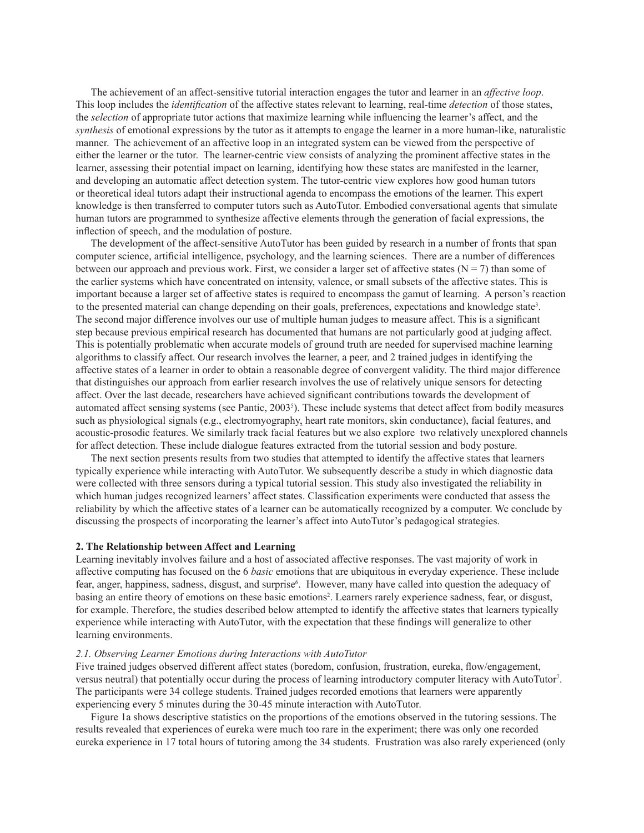The achievement of an affect-sensitive tutorial interaction engages the tutor and learner in an *affective loop*. This loop includes the *identification* of the affective states relevant to learning, real-time *detection* of those states, the *selection* of appropriate tutor actions that maximize learning while influencing the learner's affect, and the *synthesis* of emotional expressions by the tutor as it attempts to engage the learner in a more human-like, naturalistic manner. The achievement of an affective loop in an integrated system can be viewed from the perspective of either the learner or the tutor. The learner-centric view consists of analyzing the prominent affective states in the learner, assessing their potential impact on learning, identifying how these states are manifested in the learner, and developing an automatic affect detection system. The tutor-centric view explores how good human tutors or theoretical ideal tutors adapt their instructional agenda to encompass the emotions of the learner. This expert knowledge is then transferred to computer tutors such as AutoTutor. Embodied conversational agents that simulate human tutors are programmed to synthesize affective elements through the generation of facial expressions, the inflection of speech, and the modulation of posture.

The development of the affect-sensitive AutoTutor has been guided by research in a number of fronts that span computer science, artificial intelligence, psychology, and the learning sciences. There are a number of differences between our approach and previous work. First, we consider a larger set of affective states ( $N = 7$ ) than some of the earlier systems which have concentrated on intensity, valence, or small subsets of the affective states. This is important because a larger set of affective states is required to encompass the gamut of learning. A person's reaction to the presented material can change depending on their goals, preferences, expectations and knowledge state3 . The second major difference involves our use of multiple human judges to measure affect. This is a significant step because previous empirical research has documented that humans are not particularly good at judging affect. This is potentially problematic when accurate models of ground truth are needed for supervised machine learning algorithms to classify affect. Our research involves the learner, a peer, and 2 trained judges in identifying the affective states of a learner in order to obtain a reasonable degree of convergent validity. The third major difference that distinguishes our approach from earlier research involves the use of relatively unique sensors for detecting affect. Over the last decade, researchers have achieved significant contributions towards the development of automated affect sensing systems (see Pantic, 20035 ). These include systems that detect affect from bodily measures such as physiological signals (e.g., electromyography, heart rate monitors, skin conductance), facial features, and acoustic-prosodic features. We similarly track facial features but we also explore two relatively unexplored channels for affect detection. These include dialogue features extracted from the tutorial session and body posture.

The next section presents results from two studies that attempted to identify the affective states that learners typically experience while interacting with AutoTutor. We subsequently describe a study in which diagnostic data were collected with three sensors during a typical tutorial session. This study also investigated the reliability in which human judges recognized learners' affect states. Classification experiments were conducted that assess the reliability by which the affective states of a learner can be automatically recognized by a computer. We conclude by discussing the prospects of incorporating the learner's affect into AutoTutor's pedagogical strategies.

#### **2. The Relationship between Affect and Learning**

Learning inevitably involves failure and a host of associated affective responses. The vast majority of work in affective computing has focused on the 6 *basic* emotions that are ubiquitous in everyday experience. These include fear, anger, happiness, sadness, disgust, and surprise<sup>6</sup>. However, many have called into question the adequacy of basing an entire theory of emotions on these basic emotions<sup>2</sup>. Learners rarely experience sadness, fear, or disgust, for example. Therefore, the studies described below attempted to identify the affective states that learners typically experience while interacting with AutoTutor, with the expectation that these findings will generalize to other learning environments.

# *2.1. Observing Learner Emotions during Interactions with AutoTutor*

Five trained judges observed different affect states (boredom, confusion, frustration, eureka, flow/engagement, versus neutral) that potentially occur during the process of learning introductory computer literacy with AutoTutor<sup>7</sup>. The participants were 34 college students. Trained judges recorded emotions that learners were apparently experiencing every 5 minutes during the 30-45 minute interaction with AutoTutor.

Figure 1a shows descriptive statistics on the proportions of the emotions observed in the tutoring sessions. The results revealed that experiences of eureka were much too rare in the experiment; there was only one recorded eureka experience in 17 total hours of tutoring among the 34 students. Frustration was also rarely experienced (only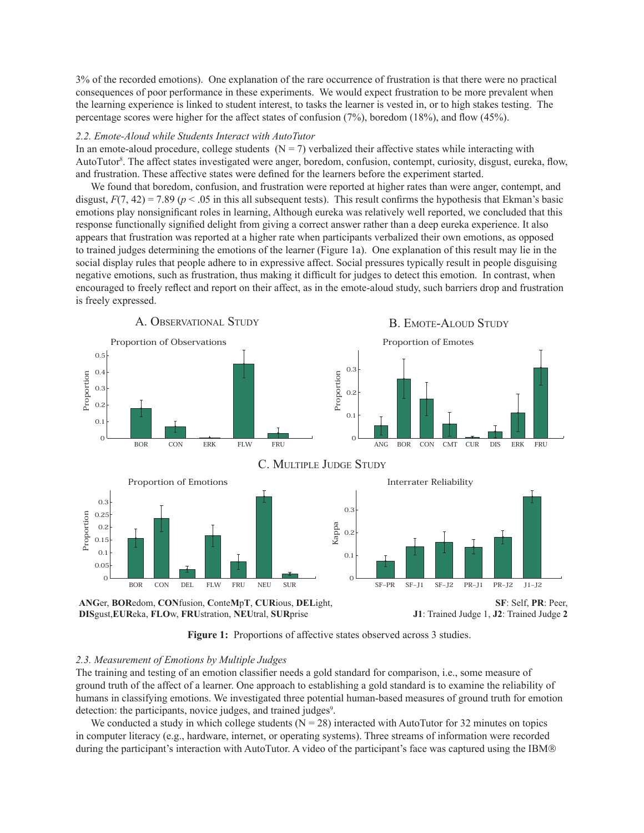3% of the recorded emotions). One explanation of the rare occurrence of frustration is that there were no practical consequences of poor performance in these experiments. We would expect frustration to be more prevalent when the learning experience is linked to student interest, to tasks the learner is vested in, or to high stakes testing. The percentage scores were higher for the affect states of confusion (7%), boredom (18%), and flow (45%).

#### *2.2. Emote-Aloud while Students Interact with AutoTutor*

In an emote-aloud procedure, college students  $(N = 7)$  verbalized their affective states while interacting with AutoTutor<sup>8</sup>. The affect states investigated were anger, boredom, confusion, contempt, curiosity, disgust, eureka, flow, and frustration. These affective states were defined for the learners before the experiment started.

We found that boredom, confusion, and frustration were reported at higher rates than were anger, contempt, and disgust,  $F(7, 42) = 7.89$  ( $p < .05$  in this all subsequent tests). This result confirms the hypothesis that Ekman's basic emotions play nonsignificant roles in learning, Although eureka was relatively well reported, we concluded that this response functionally signified delight from giving a correct answer rather than a deep eureka experience. It also appears that frustration was reported at a higher rate when participants verbalized their own emotions, as opposed to trained judges determining the emotions of the learner (Figure 1a). One explanation of this result may lie in the social display rules that people adhere to in expressive affect. Social pressures typically result in people disguising negative emotions, such as frustration, thus making it difficult for judges to detect this emotion. In contrast, when encouraged to freely reflect and report on their affect, as in the emote-aloud study, such barriers drop and frustration is freely expressed.



**ANG**er, **BOR**edom, **CON**fusion, **C**onte**M**p**T**, **CUR**ious, **DEL**ight, **DIS**gust,**EUR**eka, **FLO**w, **FRU**stration, **NEU**tral, **SUR**prise

**SF**: Self, **PR**: Peer, **J1**: Trained Judge 1, **J2**: Trained Judge **2**

Figure 1: Proportions of affective states observed across 3 studies.

# *2.3. Measurement of Emotions by Multiple Judges*

The training and testing of an emotion classifier needs a gold standard for comparison, i.e., some measure of ground truth of the affect of a learner. One approach to establishing a gold standard is to examine the reliability of humans in classifying emotions. We investigated three potential human-based measures of ground truth for emotion detection: the participants, novice judges, and trained judges<sup>9</sup>.

We conducted a study in which college students  $(N = 28)$  interacted with AutoTutor for 32 minutes on topics in computer literacy (e.g., hardware, internet, or operating systems). Three streams of information were recorded during the participant's interaction with AutoTutor. A video of the participant's face was captured using the IBM®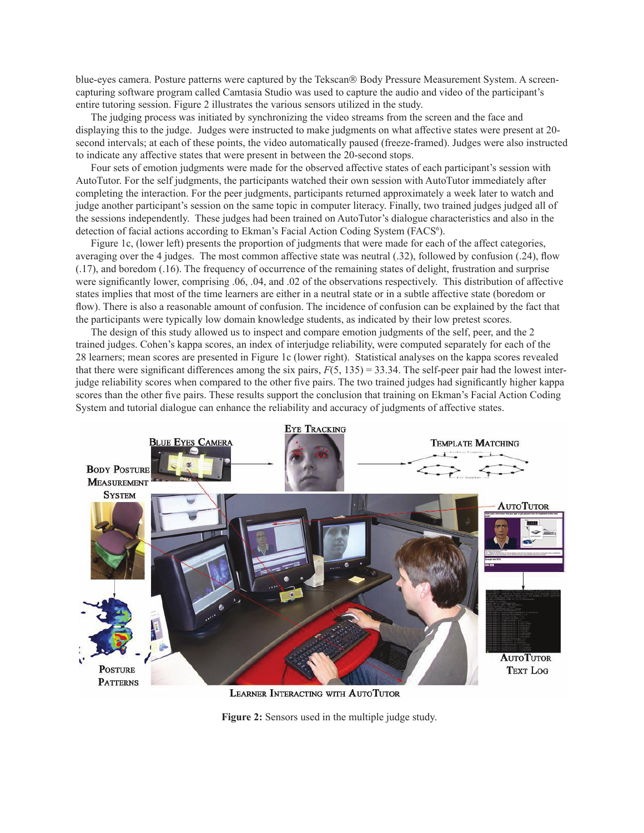blue-eyes camera. Posture patterns were captured by the Tekscan® Body Pressure Measurement System. A screencapturing software program called Camtasia Studio was used to capture the audio and video of the participant's entire tutoring session. Figure 2 illustrates the various sensors utilized in the study.

The judging process was initiated by synchronizing the video streams from the screen and the face and displaying this to the judge. Judges were instructed to make judgments on what affective states were present at 20 second intervals; at each of these points, the video automatically paused (freeze-framed). Judges were also instructed to indicate any affective states that were present in between the 20-second stops.

Four sets of emotion judgments were made for the observed affective states of each participant's session with AutoTutor. For the self judgments, the participants watched their own session with AutoTutor immediately after completing the interaction. For the peer judgments, participants returned approximately a week later to watch and judge another participant's session on the same topic in computer literacy. Finally, two trained judges judged all of the sessions independently. These judges had been trained on AutoTutor's dialogue characteristics and also in the detection of facial actions according to Ekman's Facial Action Coding System (FACS<sup>6</sup>).

Figure 1c, (lower left) presents the proportion of judgments that were made for each of the affect categories, averaging over the 4 judges. The most common affective state was neutral (.32), followed by confusion (.24), flow (.17), and boredom (.16). The frequency of occurrence of the remaining states of delight, frustration and surprise were significantly lower, comprising .06, .04, and .02 of the observations respectively. This distribution of affective states implies that most of the time learners are either in a neutral state or in a subtle affective state (boredom or flow). There is also a reasonable amount of confusion. The incidence of confusion can be explained by the fact that the participants were typically low domain knowledge students, as indicated by their low pretest scores.

The design of this study allowed us to inspect and compare emotion judgments of the self, peer, and the 2 trained judges. Cohen's kappa scores, an index of interjudge reliability, were computed separately for each of the 28 learners; mean scores are presented in Figure 1c (lower right). Statistical analyses on the kappa scores revealed that there were significant differences among the six pairs,  $F(5, 135) = 33.34$ . The self-peer pair had the lowest interjudge reliability scores when compared to the other five pairs. The two trained judges had significantly higher kappa scores than the other five pairs. These results support the conclusion that training on Ekman's Facial Action Coding System and tutorial dialogue can enhance the reliability and accuracy of judgments of affective states.



LEARNER INTERACTING WITH AUTOTUTOR

**Figure 2:** Sensors used in the multiple judge study.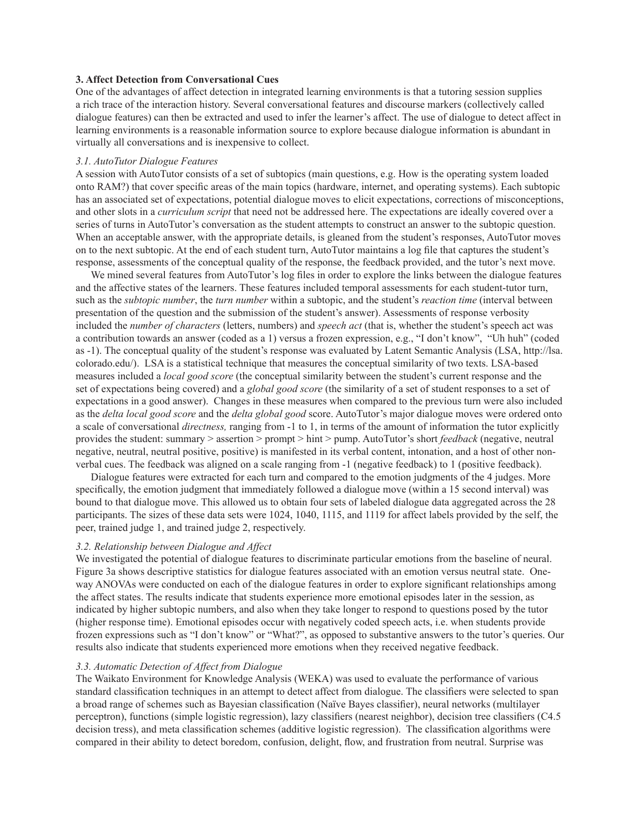#### **3. Affect Detection from Conversational Cues**

One of the advantages of affect detection in integrated learning environments is that a tutoring session supplies a rich trace of the interaction history. Several conversational features and discourse markers (collectively called dialogue features) can then be extracted and used to infer the learner's affect. The use of dialogue to detect affect in learning environments is a reasonable information source to explore because dialogue information is abundant in virtually all conversations and is inexpensive to collect.

# *3.1. AutoTutor Dialogue Features*

A session with AutoTutor consists of a set of subtopics (main questions, e.g. How is the operating system loaded onto RAM?) that cover specific areas of the main topics (hardware, internet, and operating systems). Each subtopic has an associated set of expectations, potential dialogue moves to elicit expectations, corrections of misconceptions, and other slots in a *curriculum script* that need not be addressed here. The expectations are ideally covered over a series of turns in AutoTutor's conversation as the student attempts to construct an answer to the subtopic question. When an acceptable answer, with the appropriate details, is gleaned from the student's responses, AutoTutor moves on to the next subtopic. At the end of each student turn, AutoTutor maintains a log file that captures the student's response, assessments of the conceptual quality of the response, the feedback provided, and the tutor's next move.

We mined several features from AutoTutor's log files in order to explore the links between the dialogue features and the affective states of the learners. These features included temporal assessments for each student-tutor turn, such as the *subtopic number*, the *turn number* within a subtopic, and the student's *reaction time* (interval between presentation of the question and the submission of the student's answer). Assessments of response verbosity included the *number of characters* (letters, numbers) and *speech act* (that is, whether the student's speech act was a contribution towards an answer (coded as a 1) versus a frozen expression, e.g., "I don't know", "Uh huh" (coded as -1). The conceptual quality of the student's response was evaluated by Latent Semantic Analysis (LSA, http://lsa. colorado.edu/). LSA is a statistical technique that measures the conceptual similarity of two texts. LSA-based measures included a *local good score* (the conceptual similarity between the student's current response and the set of expectations being covered) and a *global good score* (the similarity of a set of student responses to a set of expectations in a good answer). Changes in these measures when compared to the previous turn were also included as the *delta local good score* and the *delta global good* score. AutoTutor's major dialogue moves were ordered onto a scale of conversational *directness,* ranging from -1 to 1, in terms of the amount of information the tutor explicitly provides the student: summary > assertion > prompt > hint > pump. AutoTutor's short *feedback* (negative, neutral negative, neutral, neutral positive, positive) is manifested in its verbal content, intonation, and a host of other nonverbal cues. The feedback was aligned on a scale ranging from -1 (negative feedback) to 1 (positive feedback).

Dialogue features were extracted for each turn and compared to the emotion judgments of the 4 judges. More specifically, the emotion judgment that immediately followed a dialogue move (within a 15 second interval) was bound to that dialogue move. This allowed us to obtain four sets of labeled dialogue data aggregated across the 28 participants. The sizes of these data sets were 1024, 1040, 1115, and 1119 for affect labels provided by the self, the peer, trained judge 1, and trained judge 2, respectively.

# *3.2. Relationship between Dialogue and Affect*

We investigated the potential of dialogue features to discriminate particular emotions from the baseline of neural. Figure 3a shows descriptive statistics for dialogue features associated with an emotion versus neutral state. Oneway ANOVAs were conducted on each of the dialogue features in order to explore significant relationships among the affect states. The results indicate that students experience more emotional episodes later in the session, as indicated by higher subtopic numbers, and also when they take longer to respond to questions posed by the tutor (higher response time). Emotional episodes occur with negatively coded speech acts, i.e. when students provide frozen expressions such as "I don't know" or "What?", as opposed to substantive answers to the tutor's queries. Our results also indicate that students experienced more emotions when they received negative feedback.

#### *3.3. Automatic Detection of Affect from Dialogue*

The Waikato Environment for Knowledge Analysis (WEKA) was used to evaluate the performance of various standard classification techniques in an attempt to detect affect from dialogue. The classifiers were selected to span a broad range of schemes such as Bayesian classification (Naïve Bayes classifier), neural networks (multilayer perceptron), functions (simple logistic regression), lazy classifiers (nearest neighbor), decision tree classifiers (C4.5 decision tress), and meta classification schemes (additive logistic regression). The classification algorithms were compared in their ability to detect boredom, confusion, delight, flow, and frustration from neutral. Surprise was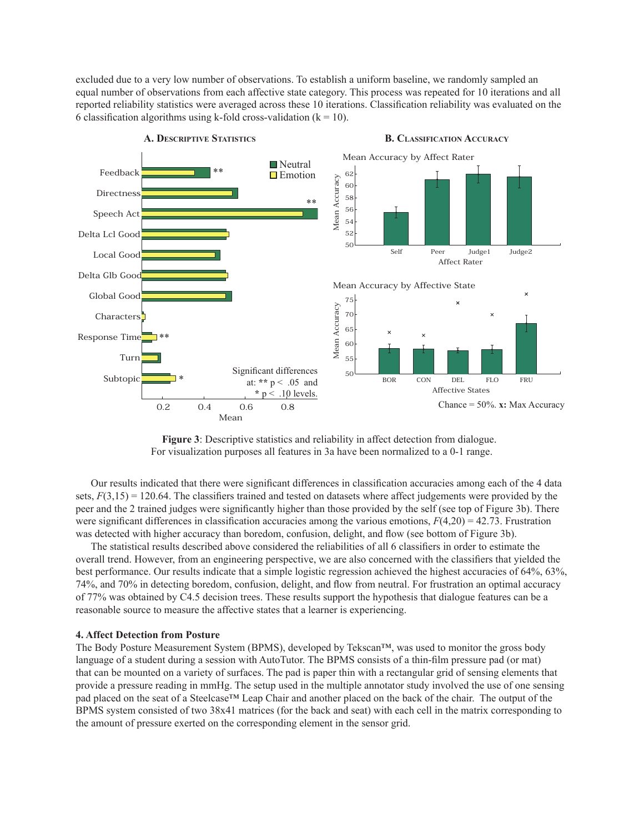excluded due to a very low number of observations. To establish a uniform baseline, we randomly sampled an equal number of observations from each affective state category. This process was repeated for 10 iterations and all reported reliability statistics were averaged across these 10 iterations. Classification reliability was evaluated on the 6 classification algorithms using k-fold cross-validation ( $k = 10$ ).



**B. CLASSIFICATION ACCURACY**

**Figure 3**: Descriptive statistics and reliability in affect detection from dialogue. For visualization purposes all features in 3a have been normalized to a 0-1 range.

Our results indicated that there were significant differences in classification accuracies among each of the 4 data sets,  $F(3,15) = 120.64$ . The classifiers trained and tested on datasets where affect judgements were provided by the peer and the 2 trained judges were significantly higher than those provided by the self (see top of Figure 3b). There were significant differences in classification accuracies among the various emotions,  $F(4,20) = 42.73$ . Frustration was detected with higher accuracy than boredom, confusion, delight, and flow (see bottom of Figure 3b).

The statistical results described above considered the reliabilities of all 6 classifiers in order to estimate the overall trend. However, from an engineering perspective, we are also concerned with the classifiers that yielded the best performance. Our results indicate that a simple logistic regression achieved the highest accuracies of 64%, 63%, 74%, and 70% in detecting boredom, confusion, delight, and flow from neutral. For frustration an optimal accuracy of 77% was obtained by C4.5 decision trees. These results support the hypothesis that dialogue features can be a reasonable source to measure the affective states that a learner is experiencing.

# **4. Affect Detection from Posture**

The Body Posture Measurement System (BPMS), developed by Tekscan™, was used to monitor the gross body language of a student during a session with AutoTutor. The BPMS consists of a thin-film pressure pad (or mat) that can be mounted on a variety of surfaces. The pad is paper thin with a rectangular grid of sensing elements that provide a pressure reading in mmHg. The setup used in the multiple annotator study involved the use of one sensing pad placed on the seat of a Steelcase™ Leap Chair and another placed on the back of the chair. The output of the BPMS system consisted of two 38x41 matrices (for the back and seat) with each cell in the matrix corresponding to the amount of pressure exerted on the corresponding element in the sensor grid.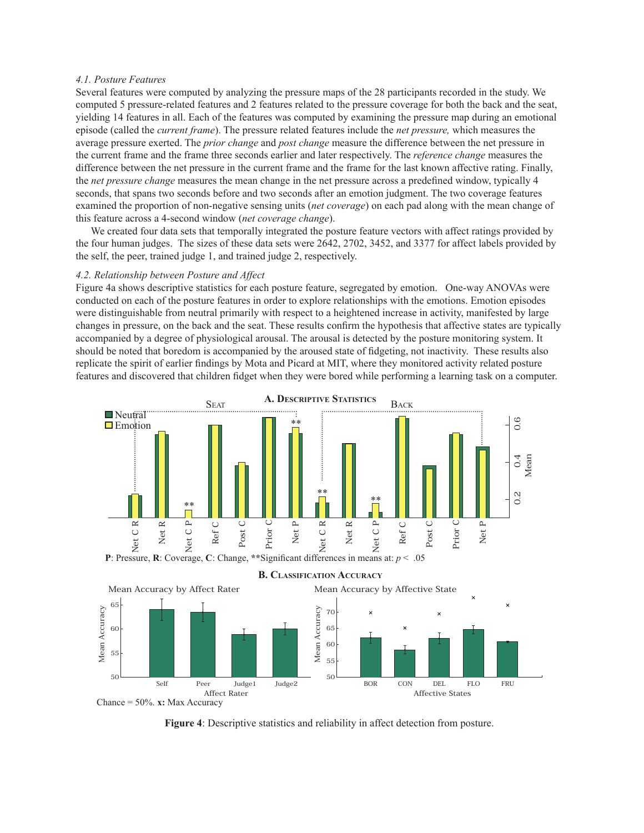# *4.1. Posture Features*

Several features were computed by analyzing the pressure maps of the 28 participants recorded in the study. We computed 5 pressure-related features and 2 features related to the pressure coverage for both the back and the seat, yielding 14 features in all. Each of the features was computed by examining the pressure map during an emotional episode (called the *current frame*). The pressure related features include the *net pressure,* which measures the average pressure exerted. The *prior change* and *post change* measure the difference between the net pressure in the current frame and the frame three seconds earlier and later respectively. The *reference change* measures the difference between the net pressure in the current frame and the frame for the last known affective rating. Finally, the *net pressure change* measures the mean change in the net pressure across a predefined window, typically 4 seconds, that spans two seconds before and two seconds after an emotion judgment. The two coverage features examined the proportion of non-negative sensing units (*net coverage*) on each pad along with the mean change of this feature across a 4-second window (*net coverage change*).

We created four data sets that temporally integrated the posture feature vectors with affect ratings provided by the four human judges. The sizes of these data sets were 2642, 2702, 3452, and 3377 for affect labels provided by the self, the peer, trained judge 1, and trained judge 2, respectively.

#### *4.2. Relationship between Posture and Affect*

Figure 4a shows descriptive statistics for each posture feature, segregated by emotion. One-way ANOVAs were conducted on each of the posture features in order to explore relationships with the emotions. Emotion episodes were distinguishable from neutral primarily with respect to a heightened increase in activity, manifested by large changes in pressure, on the back and the seat. These results confirm the hypothesis that affective states are typically accompanied by a degree of physiological arousal. The arousal is detected by the posture monitoring system. It should be noted that boredom is accompanied by the aroused state of fidgeting, not inactivity. These results also replicate the spirit of earlier findings by Mota and Picard at MIT, where they monitored activity related posture features and discovered that children fidget when they were bored while performing a learning task on a computer.







**B. CLASSIFICATION ACCURACY**

**Figure 4**: Descriptive statistics and reliability in affect detection from posture.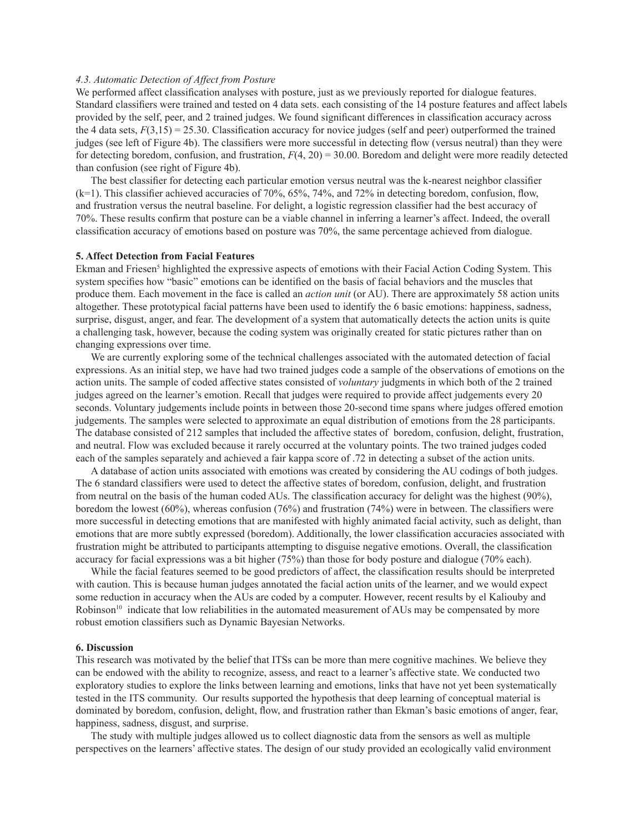# *4.3. Automatic Detection of Affect from Posture*

We performed affect classification analyses with posture, just as we previously reported for dialogue features. Standard classifiers were trained and tested on 4 data sets. each consisting of the 14 posture features and affect labels provided by the self, peer, and 2 trained judges. We found significant differences in classification accuracy across the 4 data sets,  $F(3,15) = 25.30$ . Classification accuracy for novice judges (self and peer) outperformed the trained judges (see left of Figure 4b). The classifiers were more successful in detecting flow (versus neutral) than they were for detecting boredom, confusion, and frustration, *F*(4, 20) = 30.00. Boredom and delight were more readily detected than confusion (see right of Figure 4b).

The best classifier for detecting each particular emotion versus neutral was the k-nearest neighbor classifier (k=1). This classifier achieved accuracies of 70%, 65%, 74%, and 72% in detecting boredom, confusion, flow, and frustration versus the neutral baseline. For delight, a logistic regression classifier had the best accuracy of 70%. These results confirm that posture can be a viable channel in inferring a learner's affect. Indeed, the overall classification accuracy of emotions based on posture was 70%, the same percentage achieved from dialogue.

# **5. Affect Detection from Facial Features**

Ekman and Friesen<sup>5</sup> highlighted the expressive aspects of emotions with their Facial Action Coding System. This system specifies how "basic" emotions can be identified on the basis of facial behaviors and the muscles that produce them. Each movement in the face is called an *action unit* (or AU). There are approximately 58 action units altogether. These prototypical facial patterns have been used to identify the 6 basic emotions: happiness, sadness, surprise, disgust, anger, and fear. The development of a system that automatically detects the action units is quite a challenging task, however, because the coding system was originally created for static pictures rather than on changing expressions over time.

We are currently exploring some of the technical challenges associated with the automated detection of facial expressions. As an initial step, we have had two trained judges code a sample of the observations of emotions on the action units. The sample of coded affective states consisted of *voluntary* judgments in which both of the 2 trained judges agreed on the learner's emotion. Recall that judges were required to provide affect judgements every 20 seconds. Voluntary judgements include points in between those 20-second time spans where judges offered emotion judgements. The samples were selected to approximate an equal distribution of emotions from the 28 participants. The database consisted of 212 samples that included the affective states of boredom, confusion, delight, frustration, and neutral. Flow was excluded because it rarely occurred at the voluntary points. The two trained judges coded each of the samples separately and achieved a fair kappa score of .72 in detecting a subset of the action units.

A database of action units associated with emotions was created by considering the AU codings of both judges. The 6 standard classifiers were used to detect the affective states of boredom, confusion, delight, and frustration from neutral on the basis of the human coded AUs. The classification accuracy for delight was the highest (90%), boredom the lowest (60%), whereas confusion (76%) and frustration (74%) were in between. The classifiers were more successful in detecting emotions that are manifested with highly animated facial activity, such as delight, than emotions that are more subtly expressed (boredom). Additionally, the lower classification accuracies associated with frustration might be attributed to participants attempting to disguise negative emotions. Overall, the classification accuracy for facial expressions was a bit higher (75%) than those for body posture and dialogue (70% each).

While the facial features seemed to be good predictors of affect, the classification results should be interpreted with caution. This is because human judges annotated the facial action units of the learner, and we would expect some reduction in accuracy when the AUs are coded by a computer. However, recent results by el Kaliouby and Robinson<sup>10</sup> indicate that low reliabilities in the automated measurement of AUs may be compensated by more robust emotion classifiers such as Dynamic Bayesian Networks.

# **6. Discussion**

This research was motivated by the belief that ITSs can be more than mere cognitive machines. We believe they can be endowed with the ability to recognize, assess, and react to a learner's affective state. We conducted two exploratory studies to explore the links between learning and emotions, links that have not yet been systematically tested in the ITS community. Our results supported the hypothesis that deep learning of conceptual material is dominated by boredom, confusion, delight, flow, and frustration rather than Ekman's basic emotions of anger, fear, happiness, sadness, disgust, and surprise.

The study with multiple judges allowed us to collect diagnostic data from the sensors as well as multiple perspectives on the learners' affective states. The design of our study provided an ecologically valid environment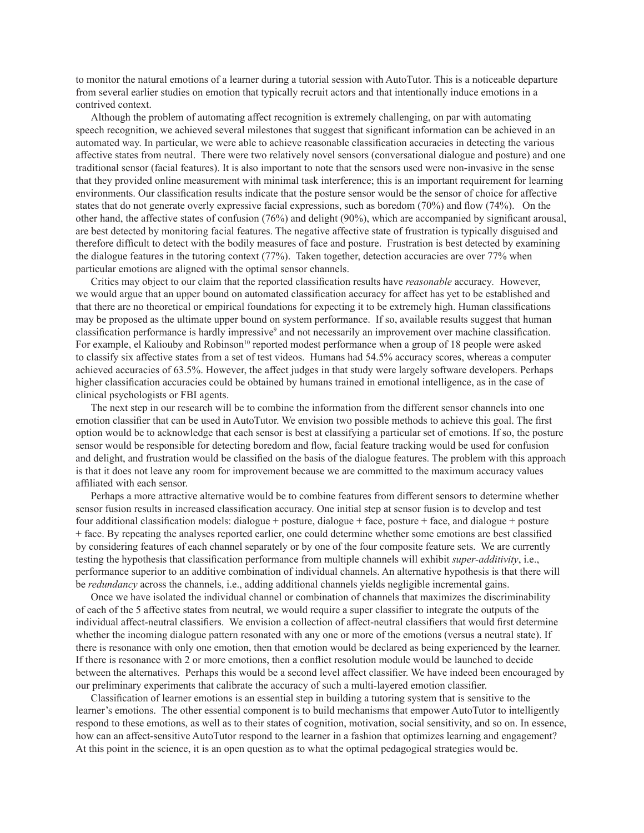to monitor the natural emotions of a learner during a tutorial session with AutoTutor. This is a noticeable departure from several earlier studies on emotion that typically recruit actors and that intentionally induce emotions in a contrived context.

Although the problem of automating affect recognition is extremely challenging, on par with automating speech recognition, we achieved several milestones that suggest that significant information can be achieved in an automated way. In particular, we were able to achieve reasonable classification accuracies in detecting the various affective states from neutral. There were two relatively novel sensors (conversational dialogue and posture) and one traditional sensor (facial features). It is also important to note that the sensors used were non-invasive in the sense that they provided online measurement with minimal task interference; this is an important requirement for learning environments. Our classification results indicate that the posture sensor would be the sensor of choice for affective states that do not generate overly expressive facial expressions, such as boredom (70%) and flow (74%). On the other hand, the affective states of confusion (76%) and delight (90%), which are accompanied by significant arousal, are best detected by monitoring facial features. The negative affective state of frustration is typically disguised and therefore difficult to detect with the bodily measures of face and posture. Frustration is best detected by examining the dialogue features in the tutoring context (77%). Taken together, detection accuracies are over 77% when particular emotions are aligned with the optimal sensor channels.

Critics may object to our claim that the reported classification results have *reasonable* accuracy*.* However, we would argue that an upper bound on automated classification accuracy for affect has yet to be established and that there are no theoretical or empirical foundations for expecting it to be extremely high. Human classifications may be proposed as the ultimate upper bound on system performance. If so, available results suggest that human classification performance is hardly impressive<sup>9</sup> and not necessarily an improvement over machine classification. For example, el Kaliouby and Robinson<sup>10</sup> reported modest performance when a group of 18 people were asked to classify six affective states from a set of test videos. Humans had 54.5% accuracy scores, whereas a computer achieved accuracies of 63.5%. However, the affect judges in that study were largely software developers. Perhaps higher classification accuracies could be obtained by humans trained in emotional intelligence, as in the case of clinical psychologists or FBI agents.

The next step in our research will be to combine the information from the different sensor channels into one emotion classifier that can be used in AutoTutor. We envision two possible methods to achieve this goal. The first option would be to acknowledge that each sensor is best at classifying a particular set of emotions. If so, the posture sensor would be responsible for detecting boredom and flow, facial feature tracking would be used for confusion and delight, and frustration would be classified on the basis of the dialogue features. The problem with this approach is that it does not leave any room for improvement because we are committed to the maximum accuracy values affiliated with each sensor.

Perhaps a more attractive alternative would be to combine features from different sensors to determine whether sensor fusion results in increased classification accuracy. One initial step at sensor fusion is to develop and test four additional classification models: dialogue + posture, dialogue + face, posture + face, and dialogue + posture + face. By repeating the analyses reported earlier, one could determine whether some emotions are best classified by considering features of each channel separately or by one of the four composite feature sets. We are currently testing the hypothesis that classification performance from multiple channels will exhibit *super-additivity*, i.e., performance superior to an additive combination of individual channels. An alternative hypothesis is that there will be *redundancy* across the channels, i.e., adding additional channels yields negligible incremental gains.

Once we have isolated the individual channel or combination of channels that maximizes the discriminability of each of the 5 affective states from neutral, we would require a super classifier to integrate the outputs of the individual affect-neutral classifiers. We envision a collection of affect-neutral classifiers that would first determine whether the incoming dialogue pattern resonated with any one or more of the emotions (versus a neutral state). If there is resonance with only one emotion, then that emotion would be declared as being experienced by the learner. If there is resonance with 2 or more emotions, then a conflict resolution module would be launched to decide between the alternatives. Perhaps this would be a second level affect classifier. We have indeed been encouraged by our preliminary experiments that calibrate the accuracy of such a multi-layered emotion classifier.

Classification of learner emotions is an essential step in building a tutoring system that is sensitive to the learner's emotions. The other essential component is to build mechanisms that empower AutoTutor to intelligently respond to these emotions, as well as to their states of cognition, motivation, social sensitivity, and so on. In essence, how can an affect-sensitive AutoTutor respond to the learner in a fashion that optimizes learning and engagement? At this point in the science, it is an open question as to what the optimal pedagogical strategies would be.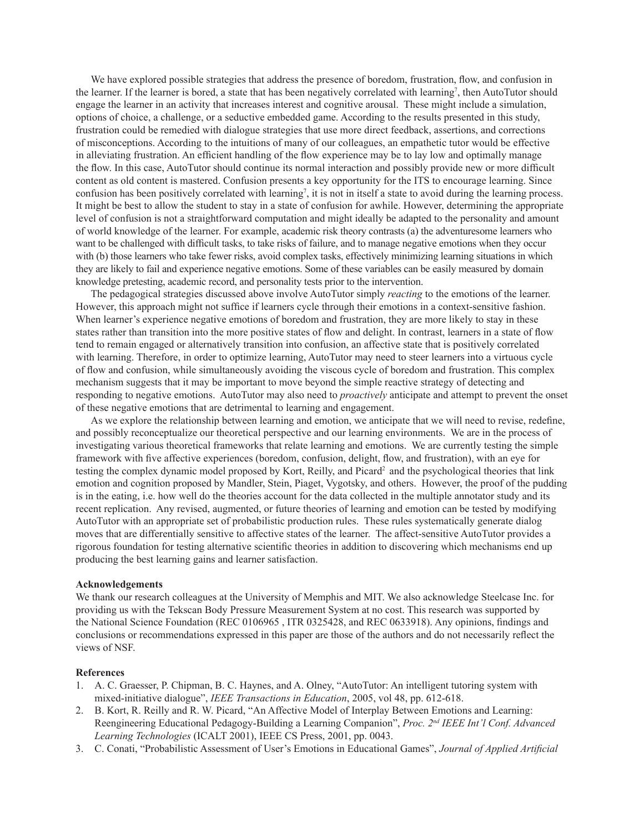We have explored possible strategies that address the presence of boredom, frustration, flow, and confusion in the learner. If the learner is bored, a state that has been negatively correlated with learning<sup>7</sup>, then AutoTutor should engage the learner in an activity that increases interest and cognitive arousal. These might include a simulation, options of choice, a challenge, or a seductive embedded game. According to the results presented in this study, frustration could be remedied with dialogue strategies that use more direct feedback, assertions, and corrections of misconceptions. According to the intuitions of many of our colleagues, an empathetic tutor would be effective in alleviating frustration. An efficient handling of the flow experience may be to lay low and optimally manage the flow. In this case, AutoTutor should continue its normal interaction and possibly provide new or more difficult content as old content is mastered. Confusion presents a key opportunity for the ITS to encourage learning. Since confusion has been positively correlated with learning7 , it is not in itself a state to avoid during the learning process. It might be best to allow the student to stay in a state of confusion for awhile. However, determining the appropriate level of confusion is not a straightforward computation and might ideally be adapted to the personality and amount of world knowledge of the learner. For example, academic risk theory contrasts (a) the adventuresome learners who want to be challenged with difficult tasks, to take risks of failure, and to manage negative emotions when they occur with (b) those learners who take fewer risks, avoid complex tasks, effectively minimizing learning situations in which they are likely to fail and experience negative emotions. Some of these variables can be easily measured by domain knowledge pretesting, academic record, and personality tests prior to the intervention.

The pedagogical strategies discussed above involve AutoTutor simply *reacting* to the emotions of the learner. However, this approach might not suffice if learners cycle through their emotions in a context-sensitive fashion. When learner's experience negative emotions of boredom and frustration, they are more likely to stay in these states rather than transition into the more positive states of flow and delight. In contrast, learners in a state of flow tend to remain engaged or alternatively transition into confusion, an affective state that is positively correlated with learning. Therefore, in order to optimize learning, AutoTutor may need to steer learners into a virtuous cycle of flow and confusion, while simultaneously avoiding the viscous cycle of boredom and frustration. This complex mechanism suggests that it may be important to move beyond the simple reactive strategy of detecting and responding to negative emotions. AutoTutor may also need to *proactively* anticipate and attempt to prevent the onset of these negative emotions that are detrimental to learning and engagement.

As we explore the relationship between learning and emotion, we anticipate that we will need to revise, redefine, and possibly reconceptualize our theoretical perspective and our learning environments. We are in the process of investigating various theoretical frameworks that relate learning and emotions. We are currently testing the simple framework with five affective experiences (boredom, confusion, delight, flow, and frustration), with an eye for testing the complex dynamic model proposed by Kort, Reilly, and Picard<sup>2</sup> and the psychological theories that link emotion and cognition proposed by Mandler, Stein, Piaget, Vygotsky, and others. However, the proof of the pudding is in the eating, i.e. how well do the theories account for the data collected in the multiple annotator study and its recent replication. Any revised, augmented, or future theories of learning and emotion can be tested by modifying AutoTutor with an appropriate set of probabilistic production rules. These rules systematically generate dialog moves that are differentially sensitive to affective states of the learner. The affect-sensitive AutoTutor provides a rigorous foundation for testing alternative scientific theories in addition to discovering which mechanisms end up producing the best learning gains and learner satisfaction.

# **Acknowledgements**

We thank our research colleagues at the University of Memphis and MIT. We also acknowledge Steelcase Inc. for providing us with the Tekscan Body Pressure Measurement System at no cost. This research was supported by the National Science Foundation (REC 0106965 , ITR 0325428, and REC 0633918). Any opinions, findings and conclusions or recommendations expressed in this paper are those of the authors and do not necessarily reflect the views of NSF.

# **References**

- 1. A. C. Graesser, P. Chipman, B. C. Haynes, and A. Olney, "AutoTutor: An intelligent tutoring system with mixed-initiative dialogue", *IEEE Transactions in Education*, 2005, vol 48, pp. 612-618.
- 2. B. Kort, R. Reilly and R. W. Picard, "An Affective Model of Interplay Between Emotions and Learning: Reengineering Educational Pedagogy-Building a Learning Companion", *Proc. 2nd IEEE Int'l Conf. Advanced Learning Technologies* (ICALT 2001), IEEE CS Press, 2001, pp. 0043.
- 3. C. Conati, "Probabilistic Assessment of User's Emotions in Educational Games", *Journal of Applied Artificial*